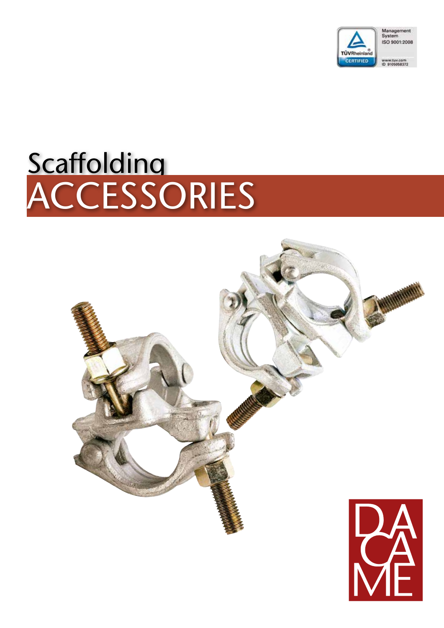

# **Scaffolding** ACCESSORIES

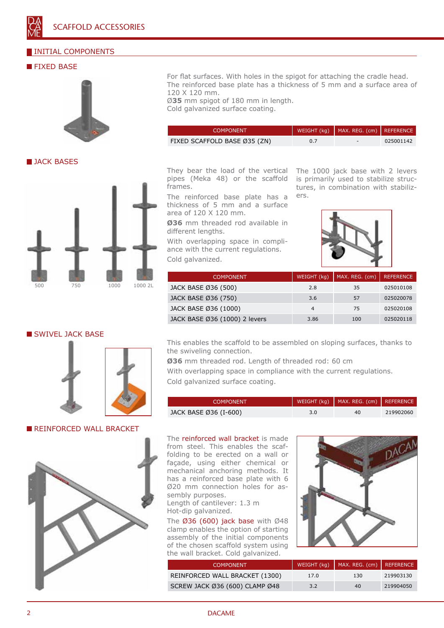#### INITIAL COMPONENTS

#### **FIXED BASE**



**JACK BASES** 



#### SWIVEL JACK BASE



**REINFORCED WALL BRACKET** 



For flat surfaces. With holes in the spigot for attaching the cradle head. The reinforced base plate has a thickness of 5 mm and a surface area of 120 X 120 mm.

Ø**35** mm spigot of 180 mm in length. Cold galvanized surface coating.

| COMPONENT.                   |     | WEIGHT (kg) $\vert$ MAX. REG. (cm) REFERENCE |           |
|------------------------------|-----|----------------------------------------------|-----------|
| FIXED SCAFFOLD BASE Ø35 (ZN) | 0.7 | $\sim$                                       | 025001142 |

They bear the load of the vertical pipes (Meka 48) or the scaffold frames.

The reinforced base plate has a thickness of 5 mm and a surface area of 120 X 120 mm.

**Ø36** mm threaded rod available in different lengths.

With overlapping space in compliance with the current regulations. Cold galvanized.

The 1000 jack base with 2 levers is primarily used to stabilize structures, in combination with stabilizers.



| <b>COMPONENT</b>              | WEIGHT (kg) | MAX. REG. (cm) | <b>REFERENCE</b> |
|-------------------------------|-------------|----------------|------------------|
| JACK BASE Ø36 (500)           | 2.8         | 35             | 025010108        |
| JACK BASE Ø36 (750)           | 3.6         | 57             | 025020078        |
| JACK BASE Ø36 (1000)          | 4           | 75             | 025020108        |
| JACK BASE Ø36 (1000) 2 levers | 3.86        | 100            | 025020118        |

This enables the scaffold to be assembled on sloping surfaces, thanks to the swiveling connection.

**Ø36** mm threaded rod. Length of threaded rod: 60 cm

With overlapping space in compliance with the current regulations. Cold galvanized surface coating.

| <b>COMPONENT</b>      |     | WEIGHT (kg)   MAX. REG. (cm)   REFERENCE |           |
|-----------------------|-----|------------------------------------------|-----------|
| JACK BASE Ø36 (I-600) | 3.0 | 40.                                      | 219902060 |

The reinforced wall bracket is made from steel. This enables the scaffolding to be erected on a wall or façade, using either chemical or mechanical anchoring methods. It has a reinforced base plate with 6 Ø20 mm connection holes for assembly purposes.

Length of cantilever: 1.3 m Hot-dip galvanized.

The  $\emptyset$ 36 (600) jack base with  $\emptyset$ 48 clamp enables the option of starting assembly of the initial components of the chosen scaffold system using the wall bracket. Cold galvanized.



| COMPONENT '                    |      | WEIGHT (kg)   MAX. REG. (cm)   REFERENCE |           |
|--------------------------------|------|------------------------------------------|-----------|
| REINFORCED WALL BRACKET (1300) | 17.0 | 130                                      | 219903130 |
| SCREW JACK Ø36 (600) CLAMP Ø48 | 3.2  | 40                                       | 219904050 |

2 DACAME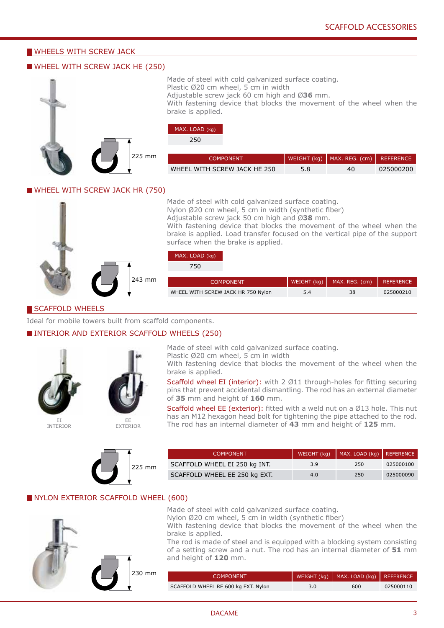#### **WHEELS WITH SCREW JACK**

#### WHEEL WITH SCREW JACK HE (250)



Made of steel with cold galvanized surface coating. Plastic Ø20 cm wheel, 5 cm in width Adjustable screw jack 60 cm high and Ø**36** mm. With fastening device that blocks the movement of the wheel when the brake is applied.

#### MAX. LOAD (kg)

250

| <b>COMPONENT</b>             |     | $\vert$ WEIGHT (kg) $\vert$ MAX. REG. (cm) $\vert$ REFERENCE |           |
|------------------------------|-----|--------------------------------------------------------------|-----------|
| WHEEL WITH SCREW JACK HE 250 | 5.8 | 40                                                           | 025000200 |

#### WHEEL WITH SCREW JACK HR (750)



243 mm

#### Made of steel with cold galvanized surface coating. Nylon Ø20 cm wheel, 5 cm in width (synthetic fiber) Adjustable screw jack 50 cm high and Ø**38** mm. With fastening device that blocks the movement of the wheel when the

brake is applied. Load transfer focused on the vertical pipe of the support surface when the brake is applied.

#### MAX. LOAD (kg)  $750$

| ЭU.                                |     |                                          |           |
|------------------------------------|-----|------------------------------------------|-----------|
| <b>COMPONENT</b>                   |     | WEIGHT (kg)   MAX. REG. (cm)   REFERENCE |           |
| WHEEL WITH SCREW JACK HR 750 Nylon | 5.4 | 38                                       | 025000210 |

#### SCAFFOLD WHEELS

Ideal for mobile towers built from scaffold components.

#### INTERIOR AND EXTERIOR SCAFFOLD WHEELS (250)





INTERIOR



Made of steel with cold galvanized surface coating. Plastic Ø20 cm wheel, 5 cm in width

With fastening device that blocks the movement of the wheel when the brake is applied.

Scaffold wheel EI (interior): with 2 Ø11 through-holes for fitting securing pins that prevent accidental dismantling. The rod has an external diameter of **35** mm and height of **160** mm.

Scaffold wheel EE (exterior): fitted with a weld nut on a Ø13 hole. This nut has an M12 hexagon head bolt for tightening the pipe attached to the rod. The rod has an internal diameter of **43** mm and height of **125** mm.



| <b>COMPONENT</b>              |     | WEIGHT (kg)   MAX. LOAD (kg)   REFERENCE |           |
|-------------------------------|-----|------------------------------------------|-----------|
| SCAFFOLD WHEEL EI 250 kg INT. | 3.9 | 250                                      | 025000100 |
| SCAFFOLD WHEEL EE 250 kg EXT. | 4.0 | 250                                      | 025000090 |

#### NYLON EXTERIOR SCAFFOLD WHEEL (600)



Made of steel with cold galvanized surface coating.

Nylon Ø20 cm wheel, 5 cm in width (synthetic fiber)

With fastening device that blocks the movement of the wheel when the brake is applied.

The rod is made of steel and is equipped with a blocking system consisting of a setting screw and a nut. The rod has an internal diameter of **51** mm and height of **120** mm.

| <b>COMPONENT</b>                    | WEIGHT (kg)   MAX. LOAD (kg)   REFERENCE |           |
|-------------------------------------|------------------------------------------|-----------|
| SCAFFOLD WHEEL RE 600 kg EXT. Nylon | 600                                      | 025000110 |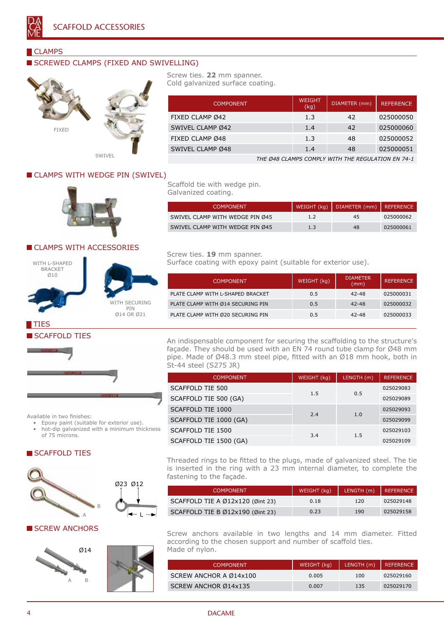

#### CLAMPS

#### SCREWED CLAMPS (FIXED AND SWIVELLING)



SWIVEL

#### Screw ties. **22** mm spanner. Cold galvanized surface coating.

Scaffold tie with wedge pin.

Screw ties. **19** mm spanner.

Galvanized coating.

| <b>COMPONENT</b> | <b>WEIGHT</b><br>(kg) | DIAMETER (mm) | <b>REFERENCE</b> |
|------------------|-----------------------|---------------|------------------|
| FIXED CLAMP Ø42  | 1.3                   | 42            | 025000050        |
| SWIVEL CLAMP Ø42 | 1.4                   | 42            | 025000060        |
| FIXED CLAMP Ø48  | 1.3                   | 48            | 025000052        |
| SWIVEL CLAMP Ø48 | 1.4                   | 48            | 025000051        |

SWIVEL CLAMP WITH WEDGE PIN Ø45 1.2 45 025000062 SWIVEL CLAMP WITH WEDGE PIN Ø45 1.3 48 025000061

COMPONENT WEIGHT (kg) DIAMETER

Surface coating with epoxy paint (suitable for exterior use).

PLATE CLAMP WITH L-SHAPED BRACKET 0.5 42-48 025000031 PLATE CLAMP WITH Ø14 SECURING PIN **0.5** 42-48 025000032 PLATE CLAMP WITH Ø20 SECURING PIN 0.5 42-48 025000033

*THE Ø48 CLAMPS COMPLY WITH THE REGULATION EN 74-1*

**REFERENCE** 

COMPONENT | WEIGHT (kg) | DIAMETER (mm) | REFERENCE

CLAMPS WITH WEDGE PIN (SWIVEL)



#### CLAMPS WITH ACCESSORIES



TIES



WITH SECURING PIN Ø14 OR Ø21

### SCAFFOLD TIES



An indispensable component for securing the scaffolding to the structure's façade. They should be used with an EN 74 round tube clamp for Ø48 mm pipe. Made of Ø48.3 mm steel pipe, fitted with an Ø18 mm hook, both in St-44 steel (S275 JR)

| <b>COMPONENT</b>       | WEIGHT (kg) | LENGTH (m) | <b>REFERENCE</b> |           |
|------------------------|-------------|------------|------------------|-----------|
| SCAFFOLD TIE 500       | 1.5         |            |                  | 025029083 |
| SCAFFOLD TIE 500 (GA)  |             | 0.5        | 025029089        |           |
| SCAFFOLD TIE 1000      | 2.4         | 1.0        | 025029093        |           |
| SCAFFOLD TIE 1000 (GA) |             |            | 025029099        |           |
| SCAFFOLD TIE 1500      | 3.4         |            |                  | 025029103 |
| SCAFFOLD TIE 1500 (GA) |             | 1.5        | 025029109        |           |

Available in two finishes:

- Epoxy paint (suitable for exterior use).
- hot-dip galvanized with a minimum thickness of 75 microns.

#### SCAFFOLD TIES



#### **SCREW ANCHORS**





L

Threaded rings to be fitted to the plugs, made of galvanized steel. The tie is inserted in the ring with a 23 mm internal diameter, to complete the fastening to the façade.

| COMPONENT <sup>1</sup>           | WEIGHT (kg) | LENGTH (m) REFERENCE |           |
|----------------------------------|-------------|----------------------|-----------|
| SCAFFOLD TIE A Ø12x120 (Øint 23) | 0.18        | 120                  | 025029148 |
| SCAFFOLD TIE B Ø12x190 (Øint 23) | 0.23        | 190                  | 025029158 |

Screw anchors available in two lengths and 14 mm diameter. Fitted according to the chosen support and number of scaffold ties. Made of nylon.

| <b>COMPONENT</b>       | WEIGHT (kg) | LENGTH (m)   REFERENCE |           |
|------------------------|-------------|------------------------|-----------|
| SCREW ANCHOR A Ø14x100 | 0.005       | 100                    | 025029160 |
| SCREW ANCHOR Ø14x135   | 0.007       | 135                    | 025029170 |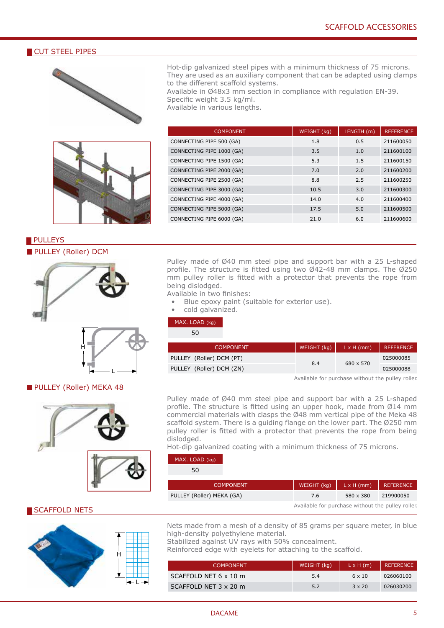#### CUT STEEL PIPES





Hot-dip galvanized steel pipes with a minimum thickness of 75 microns. They are used as an auxiliary component that can be adapted using clamps to the different scaffold systems.

Available in Ø48x3 mm section in compliance with regulation EN-39. Specific weight 3.5 kg/ml.

Available in various lengths.

| <b>COMPONENT</b>          | WEIGHT (kg) | LENGTH (m) | <b>REFERENCE</b> |
|---------------------------|-------------|------------|------------------|
| CONNECTING PIPE 500 (GA)  | 1.8         | 0.5        | 211600050        |
| CONNECTING PIPE 1000 (GA) | 3.5         | 1.0        | 211600100        |
| CONNECTING PIPE 1500 (GA) | 5.3         | 1.5        | 211600150        |
| CONNECTING PIPE 2000 (GA) | 7.0         | 2.0        | 211600200        |
| CONNECTING PIPE 2500 (GA) | 8.8         | 2.5        | 211600250        |
| CONNECTING PIPE 3000 (GA) | 10.5        | 3.0        | 211600300        |
| CONNECTING PIPE 4000 (GA) | 14.0        | 4.0        | 211600400        |
| CONNECTING PIPE 5000 (GA) | 17.5        | 5.0        | 211600500        |
| CONNECTING PIPE 6000 (GA) | 21.0        | 6.0        | 211600600        |

#### **PULLEYS PULLEY (Roller) DCM**



#### **PULLEY (Roller) MEKA 48**





Pulley made of Ø40 mm steel pipe and support bar with a 25 L-shaped profile. The structure is fitted using two Ø42-48 mm clamps. The Ø250 mm pulley roller is fitted with a protector that prevents the rope from being dislodged.

- Available in two finishes: Blue epoxy paint (suitable for exterior use).
	- cold galvanized.
	-

#### MAX. LOAD (kg)  $50$

| JU                       |             |                   |           |
|--------------------------|-------------|-------------------|-----------|
| <b>COMPONENT</b>         | WEIGHT (kg) | $L \times H$ (mm) | REFERENCE |
| PULLEY (Roller) DCM (PT) | 8.4         | 680 x 570         | 025000085 |
| PULLEY (Roller) DCM (ZN) |             |                   | 025000088 |

Available for purchase without the pulley roller.

Pulley made of Ø40 mm steel pipe and support bar with a 25 L-shaped profile. The structure is fitted using an upper hook, made from Ø14 mm commercial materials with clasps the Ø48 mm vertical pipe of the Meka 48 scaffold system. There is a guiding flange on the lower part. The Ø250 mm pulley roller is fitted with a protector that prevents the rope from being dislodged.

Hot-dip galvanized coating with a minimum thickness of 75 microns.

| MAX. LOAD (kg) |  |
|----------------|--|
|----------------|--|

|               | <b>COMPONENT</b>          | WEIGHT $(kg)$                                     | $L \times H$ (mm) | <b>REFERENCE</b> |
|---------------|---------------------------|---------------------------------------------------|-------------------|------------------|
|               | PULLEY (Roller) MEKA (GA) | 7.6                                               | 580 x 380         | 219900050        |
| SCAFFOLD NETS |                           | Available for purchase without the pulley roller. |                   |                  |

Nets made from a mesh of a density of 85 grams per square meter, in blue high-density polyethylene material.

Stabilized against UV rays with 50% concealment.

Reinforced edge with eyelets for attaching to the scaffold.

| <b>COMPONENT</b>      | WEIGHT (kg) | $L \times H(m)$ | REFERENCE |
|-----------------------|-------------|-----------------|-----------|
| SCAFFOLD NET 6 x 10 m | 5.4         | 6 x 10          | 026060100 |
| SCAFFOLD NET 3 x 20 m | 5.2         | $3 \times 20$   | 026030200 |

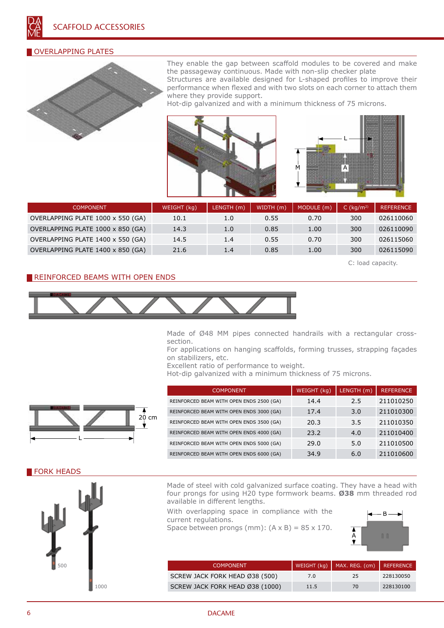#### OVERLAPPING PLATES



They enable the gap between scaffold modules to be covered and make the passageway continuous. Made with non-slip checker plate

Structures are available designed for L-shaped profiles to improve their performance when flexed and with two slots on each corner to attach them where they provide support.

Hot-dip galvanized and with a minimum thickness of 75 microns.





| <b>COMPONENT</b>                  | WEIGHT (kg) | LENGTH (m) | WIDTH (m) | MODULE (m) | C $(kq/m2)$ | <b>REFERENCE</b> |
|-----------------------------------|-------------|------------|-----------|------------|-------------|------------------|
| OVERLAPPING PLATE 1000 x 550 (GA) | 10.1        | 1.0        | 0.55      | 0.70       | 300         | 026110060        |
| OVERLAPPING PLATE 1000 x 850 (GA) | 14.3        | 1.0        | 0.85      | 1.00       | 300         | 026110090        |
| OVERLAPPING PLATE 1400 x 550 (GA) | 14.5        | 1.4        | 0.55      | 0.70       | 300         | 026115060        |
| OVERLAPPING PLATE 1400 x 850 (GA) | 21.6        | 1.4        | 0.85      | 1.00       | 300         | 026115090        |

C: load capacity.

#### REINFORCED BEAMS WITH OPEN ENDS



Made of Ø48 MM pipes connected handrails with a rectangular crosssection.

For applications on hanging scaffolds, forming trusses, strapping façades on stabilizers, etc.

Excellent ratio of performance to weight.

Hot-dip galvanized with a minimum thickness of 75 microns.



| <b>COMPONENT</b>                         | WEIGHT (kg) | LENGTH (m) | <b>REFERENCE</b> |
|------------------------------------------|-------------|------------|------------------|
| REINFORCED BEAM WITH OPEN ENDS 2500 (GA) | 14.4        | 2.5        | 211010250        |
| REINFORCED BEAM WITH OPEN ENDS 3000 (GA) | 17.4        | 3.0        | 211010300        |
| REINFORCED BEAM WITH OPEN ENDS 3500 (GA) | 20.3        | 3.5        | 211010350        |
| REINFORCED BEAM WITH OPEN ENDS 4000 (GA) | 23.2        | 4.0        | 211010400        |
| REINFORCED BEAM WITH OPEN ENDS 5000 (GA) | 29.0        | 5.0        | 211010500        |
| REINFORCED BEAM WITH OPEN ENDS 6000 (GA) | 34.9        | 6.0        | 211010600        |
|                                          |             |            |                  |

#### FORK HEADS



Made of steel with cold galvanized surface coating. They have a head with four prongs for using H20 type formwork beams. **Ø38** mm threaded rod available in different lengths.

With overlapping space in compliance with the current regulations. Space between prongs (mm):  $(A \times B) = 85 \times 170$ .

B  $\hat{A}$ <br> $\hat{\mathbf{v}}$  $\mathbb{R}$ 

| <b>COMPONENT</b>                |      | WEIGHT (kg)   MAX. REG. (cm)   REFERENCE |           |
|---------------------------------|------|------------------------------------------|-----------|
| SCREW JACK FORK HEAD Ø38 (500)  | 7.0  | 25                                       | 228130050 |
| SCREW JACK FORK HEAD Ø38 (1000) | 11.5 | 70                                       | 228130100 |

#### 6 DACAME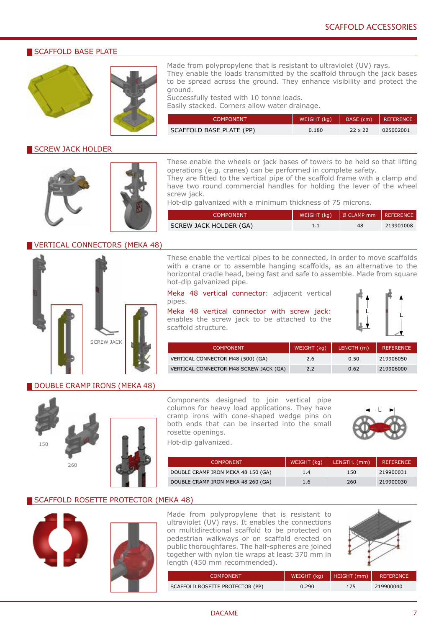#### SCAFFOLD BASE PLATE





Made from polypropylene that is resistant to ultraviolet (UV) rays. They enable the loads transmitted by the scaffold through the jack bases to be spread across the ground. They enhance visibility and protect the ground.

Successfully tested with 10 tonne loads. Easily stacked. Corners allow water drainage.

| <b>COMPONENT</b>         | WEIGHT (kg) |                | BASE (cm) REFERENCE |
|--------------------------|-------------|----------------|---------------------|
| SCAFFOLD BASE PLATE (PP) | 0.180       | $22 \times 22$ | 025002001           |

#### SCREW JACK HOLDER





These enable the wheels or jack bases of towers to be held so that lifting operations (e.g. cranes) can be performed in complete safety.

They are fitted to the vertical pipe of the scaffold frame with a clamp and have two round commercial handles for holding the lever of the wheel

Hot-dip galvanized with a minimum thickness of 75 microns.

| <b>COMPONENT</b>       | WEIGHT $(kg)$   Ø CLAMP mm   REFERENCE |           |
|------------------------|----------------------------------------|-----------|
| SCREW JACK HOLDER (GA) | 48                                     | 219901008 |

#### VERTICAL CONNECTORS (MEKA 48)



These enable the vertical pipes to be connected, in order to move scaffolds with a crane or to assemble hanging scaffolds, as an alternative to the horizontal cradle head, being fast and safe to assemble. Made from square hot-dip galvanized pipe.

Meka 48 vertical connector: adjacent vertical pipes.

Meka 48 vertical connector with screw jack: enables the screw jack to be attached to the scaffold structure.



| <b>COMPONENT</b>                       | WEIGHT (kg) | LENGTH (m) | <b>REFERENCE</b> |
|----------------------------------------|-------------|------------|------------------|
| VERTICAL CONNECTOR M48 (500) (GA)      | 2.6         | 0.50       | 219906050        |
| VERTICAL CONNECTOR M48 SCREW JACK (GA) | 2.2         | 0.62       | 219906000        |

#### DOUBLE CRAMP IRONS (MEKA 48)





Components designed to join vertical pipe columns for heavy load applications. They have cramp irons with cone-shaped wedge pins on both ends that can be inserted into the small rosette openings.



Hot-dip galvanized.

| <b>COMPONENT</b>                   | WEIGHT $(kq)$ | LENGTH. (mm)   REFERENCE |           |
|------------------------------------|---------------|--------------------------|-----------|
| DOUBLE CRAMP IRON MEKA 48 150 (GA) | 1.4           | 150                      | 219900031 |
| DOUBLE CRAMP IRON MEKA 48 260 (GA) | 1.6           | 260                      | 219900030 |

#### SCAFFOLD ROSETTE PROTECTOR (MEKA 48)





Made from polypropylene that is resistant to ultraviolet (UV) rays. It enables the connections on multidirectional scaffold to be protected on pedestrian walkways or on scaffold erected on public thoroughfares. The half-spheres are joined together with nylon tie wraps at least 370 mm in length (450 mm recommended).



| COMPONENT.                      |       | WEIGHT (kg)   HEIGHT (mm)   REFERENCE |           |
|---------------------------------|-------|---------------------------------------|-----------|
| SCAFFOLD ROSETTE PROTECTOR (PP) | 0.290 | 175                                   | 219900040 |